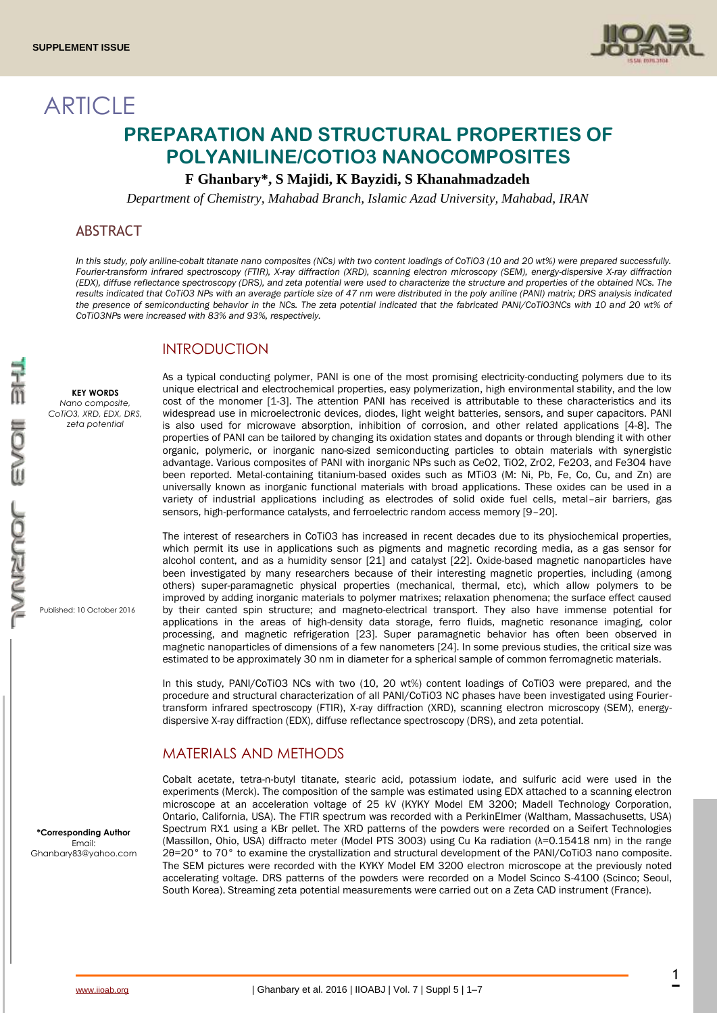**ARTICLE** 



# **PREPARATION AND STRUCTURAL PROPERTIES OF POLYANILINE/COTIO3 NANOCOMPOSITES**

## **F Ghanbary\*, S Majidi, K Bayzidi, S Khanahmadzadeh**

*Department of Chemistry, Mahabad Branch, Islamic Azad University, Mahabad, IRAN*

## ABSTRACT

*In this study, poly aniline-cobalt titanate nano composites (NCs) with two content loadings of CoTiO3 (10 and 20 wt%) were prepared successfully. Fourier-transform infrared spectroscopy (FTIR), X-ray diffraction (XRD), scanning electron microscopy (SEM), energy-dispersive X-ray diffraction (EDX), diffuse reflectance spectroscopy (DRS), and zeta potential were used to characterize the structure and properties of the obtained NCs. The results indicated that CoTiO3 NPs with an average particle size of 47 nm were distributed in the poly aniline (PANI) matrix; DRS analysis indicated*  the presence of semiconducting behavior in the NCs. The zeta potential indicated that the fabricated PANI/CoTiO3NCs with 10 and 20 wt% of *CoTiO3NPs were increased with 83% and 93%, respectively.*

# INTRODUCTION

**KEY WORDS** *Nano composite, CoTiO3, XRD, EDX, DRS, zeta potential*

Published: 10 October 2016

**\*Corresponding Author** Email: Ghanbary83@yahoo.com

As a typical conducting polymer, PANI is one of the most promising electricity-conducting polymers due to its unique electrical and electrochemical properties, easy polymerization, high environmental stability, and the low cost of the monomer [1-3]. The attention PANI has received is attributable to these characteristics and its widespread use in microelectronic devices, diodes, light weight batteries, sensors, and super capacitors. PANI is also used for microwave absorption, inhibition of corrosion, and other related applications [4-8]. The properties of PANI can be tailored by changing its oxidation states and dopants or through blending it with other organic, polymeric, or inorganic nano-sized semiconducting particles to obtain materials with synergistic advantage. Various composites of PANI with inorganic NPs such as CeO2, TiO2, ZrO2, Fe2O3, and Fe3O4 have been reported. Metal-containing titanium-based oxides such as MTiO3 (M: Ni, Pb, Fe, Co, Cu, and Zn) are universally known as inorganic functional materials with broad applications. These oxides can be used in a variety of industrial applications including as electrodes of solid oxide fuel cells, metal–air barriers, gas sensors, high-performance catalysts, and ferroelectric random access memory [9–20].

The interest of researchers in CoTiO3 has increased in recent decades due to its physiochemical properties, which permit its use in applications such as pigments and magnetic recording media, as a gas sensor for alcohol content, and as a humidity sensor [21] and catalyst [22]. Oxide-based magnetic nanoparticles have been investigated by many researchers because of their interesting magnetic properties, including (among others) super-paramagnetic physical properties (mechanical, thermal, etc), which allow polymers to be improved by adding inorganic materials to polymer matrixes; relaxation phenomena; the surface effect caused by their canted spin structure; and magneto-electrical transport. They also have immense potential for applications in the areas of high-density data storage, ferro fluids, magnetic resonance imaging, color processing, and magnetic refrigeration [23]. Super paramagnetic behavior has often been observed in magnetic nanoparticles of dimensions of a few nanometers [24]. In some previous studies, the critical size was estimated to be approximately 30 nm in diameter for a spherical sample of common ferromagnetic materials.

In this study, PANI/CoTiO3 NCs with two (10, 20 wt%) content loadings of CoTiO3 were prepared, and the procedure and structural characterization of all PANI/CoTiO3 NC phases have been investigated using Fouriertransform infrared spectroscopy (FTIR), X-ray diffraction (XRD), scanning electron microscopy (SEM), energydispersive X-ray diffraction (EDX), diffuse reflectance spectroscopy (DRS), and zeta potential.

# MATERIALS AND METHODS

Cobalt acetate, tetra-n-butyl titanate, stearic acid, potassium iodate, and sulfuric acid were used in the experiments (Merck). The composition of the sample was estimated using EDX attached to a scanning electron microscope at an acceleration voltage of 25 kV (KYKY Model EM 3200; Madell Technology Corporation, Ontario, California, USA). The FTIR spectrum was recorded with a PerkinElmer (Waltham, Massachusetts, USA) Spectrum RX1 using a KBr pellet. The XRD patterns of the powders were recorded on a Seifert Technologies (Massillon, Ohio, USA) diffracto meter (Model PTS 3003) using Cu Ka radiation (λ=0.15418 nm) in the range 2θ=20° to 70° to examine the crystallization and structural development of the PANI/CoTiO3 nano composite. The SEM pictures were recorded with the KYKY Model EM 3200 electron microscope at the previously noted accelerating voltage. DRS patterns of the powders were recorded on a Model Scinco S-4100 (Scinco; Seoul, South Korea). Streaming zeta potential measurements were carried out on a Zeta CAD instrument (France).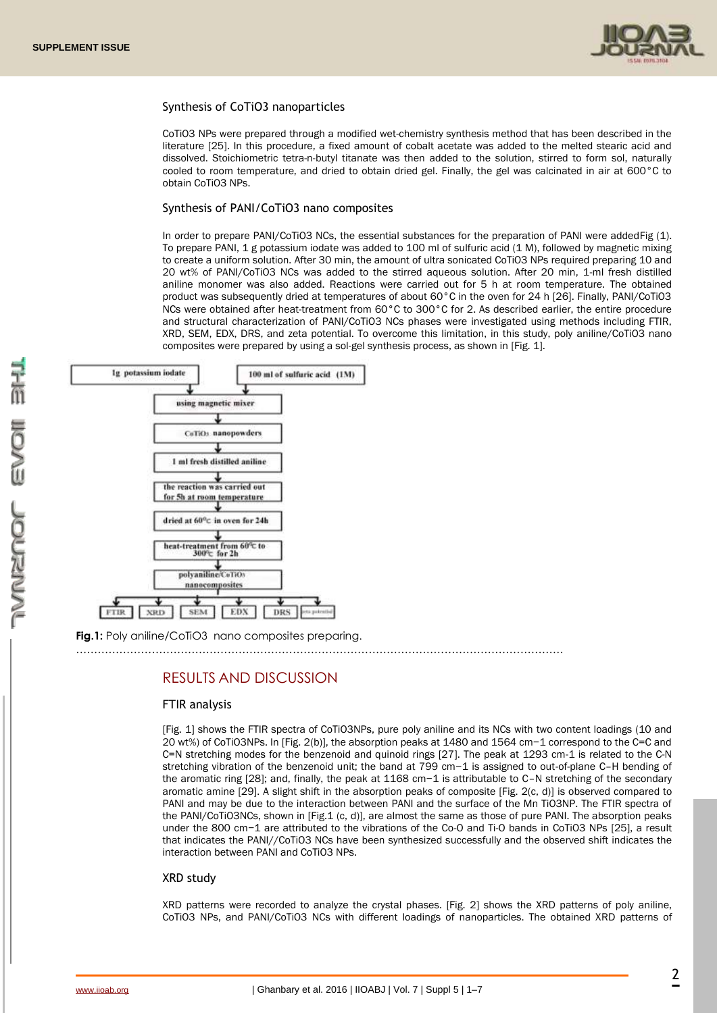

#### Synthesis of CoTiO3 nanoparticles

CoTiO3 NPs were prepared through a modified wet-chemistry synthesis method that has been described in the literature [25]. In this procedure, a fixed amount of cobalt acetate was added to the melted stearic acid and dissolved. Stoichiometric tetra-n-butyl titanate was then added to the solution, stirred to form sol, naturally cooled to room temperature, and dried to obtain dried gel. Finally, the gel was calcinated in air at 600°C to obtain CoTiO3 NPs.

#### Synthesis of PANI/CoTiO3 nano composites

In order to prepare PANI/CoTiO3 NCs, the essential substances for the preparation of PANI were addedFig (1). To prepare PANI, 1 g potassium iodate was added to 100 ml of sulfuric acid (1 M), followed by magnetic mixing to create a uniform solution. After 30 min, the amount of ultra sonicated CoTiO3 NPs required preparing 10 and 20 wt% of PANI/CoTiO3 NCs was added to the stirred aqueous solution. After 20 min, 1-ml fresh distilled aniline monomer was also added. Reactions were carried out for 5 h at room temperature. The obtained product was subsequently dried at temperatures of about 60°C in the oven for 24 h [26]. Finally, PANI/CoTiO3 NCs were obtained after heat-treatment from 60°C to 300°C for 2. As described earlier, the entire procedure and structural characterization of PANI/CoTiO3 NCs phases were investigated using methods including FTIR, XRD, SEM, EDX, DRS, and zeta potential. To overcome this limitation, in this study, poly aniline/CoTiO3 nano composites were prepared by using a sol-gel synthesis process, as shown in [Fig. 1].



**Fig.1:** Poly aniline/CoTiO3 nano composites preparing.

# ………………………………………………………………………………………………………………………

# RESULTS AND DISCUSSION

#### FTIR analysis

[Fig. 1] shows the FTIR spectra of CoTiO3NPs, pure poly aniline and its NCs with two content loadings (10 and 20 wt%) of CoTiO3NPs. In [Fig. 2(b)], the absorption peaks at 1480 and 1564 cm−1 correspond to the C=C and C=N stretching modes for the benzenoid and quinoid rings [27]. The peak at 1293 cm-1 is related to the C-N stretching vibration of the benzenoid unit; the band at 799 cm−1 is assigned to out-of-plane C–H bending of the aromatic ring [28]; and, finally, the peak at 1168 cm−1 is attributable to C–N stretching of the secondary aromatic amine [29]. A slight shift in the absorption peaks of composite [Fig. 2(c, d)] is observed compared to PANI and may be due to the interaction between PANI and the surface of the Mn TiO3NP. The FTIR spectra of the PANI/CoTiO3NCs, shown in [Fig.1 (c, d)], are almost the same as those of pure PANI. The absorption peaks under the 800 cm−1 are attributed to the vibrations of the Co-O and Ti-O bands in CoTiO3 NPs [25], a result that indicates the PANI//CoTiO3 NCs have been synthesized successfully and the observed shift indicates the interaction between PANI and CoTiO3 NPs.

#### XRD study

XRD patterns were recorded to analyze the crystal phases. [Fig. 2] shows the XRD patterns of poly aniline, CoTiO3 NPs, and PANI/CoTiO3 NCs with different loadings of nanoparticles. The obtained XRD patterns of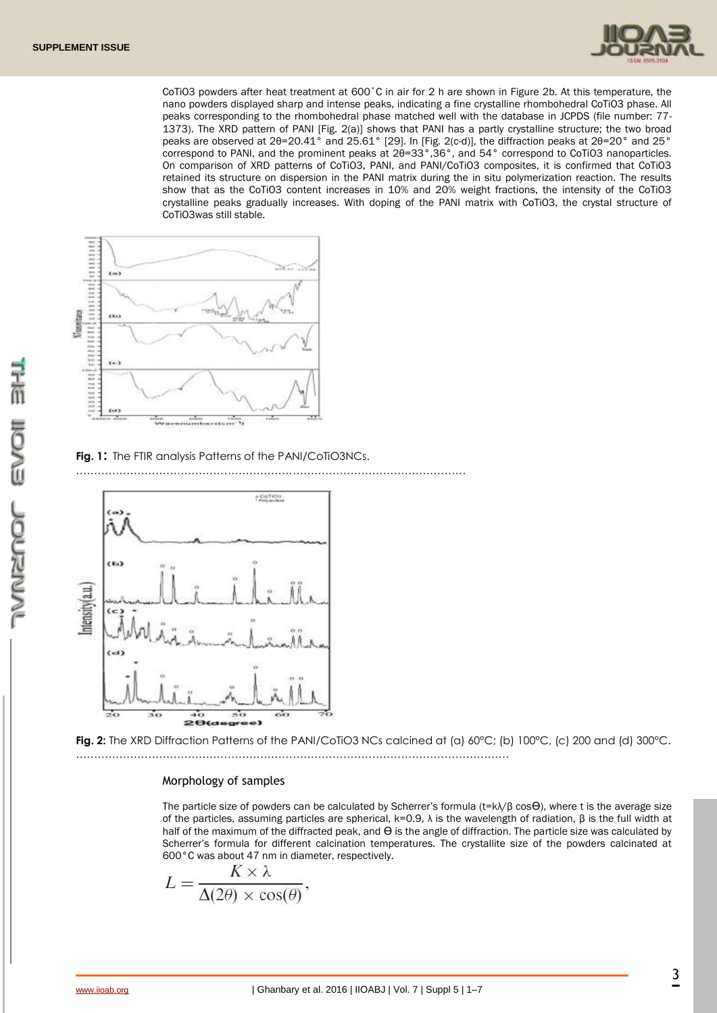

CoTiO3 powders after heat treatment at 600˚C in air for 2 h are shown in Figure 2b. At this temperature, the nano powders displayed sharp and intense peaks, indicating a fine crystalline rhombohedral CoTiO3 phase. All peaks corresponding to the rhombohedral phase matched well with the database in JCPDS (file number: 77- 1373). The XRD pattern of PANI [Fig. 2(a)] shows that PANI has a partly crystalline structure; the two broad peaks are observed at 2θ=20.41° and 25.61° [29]. In [Fig. 2(c-d)], the diffraction peaks at 2θ=20° and 25° correspond to PANI, and the prominent peaks at 2θ=33°,36°, and 54° correspond to CoTiO3 nanoparticles. On comparison of XRD patterns of CoTiO3, PANI, and PANI/CoTiO3 composites, it is confirmed that CoTiO3 retained its structure on dispersion in the PANI matrix during the in situ polymerization reaction. The results show that as the CoTiO3 content increases in 10% and 20% weight fractions, the intensity of the CoTiO3 crystalline peaks gradually increases. With doping of the PANI matrix with CoTiO3, the crystal structure of CoTiO3was still stable.



**Fig. 1**: The FTIR analysis Patterns of the PANI/CoTiO3NCs.

………………………………………………………………………………………………



**Fig. 2:** The XRD Diffraction Patterns of the PANI/CoTiO3 NCs calcined at (a) 60°C; (b) 100°C, (c) 200 and (d) 300°C. …………………………………………………………………………………………………………

#### Morphology of samples

The particle size of powders can be calculated by Scherrer's formula ( $t = k\lambda/\beta \cos\Theta$ ), where t is the average size of the particles, assuming particles are spherical, k=0.9,  $\lambda$  is the wavelength of radiation,  $\beta$  is the full width at half of the maximum of the diffracted peak, and  $\Theta$  is the angle of diffraction. The particle size was calculated by Scherrer's formula for different calcination temperatures. The crystallite size of the powders calcinated at 600°C was about 47 nm in diameter, respectively.

$$
L = \frac{K \times \lambda}{\Delta(2\theta) \times \cos(\theta)},
$$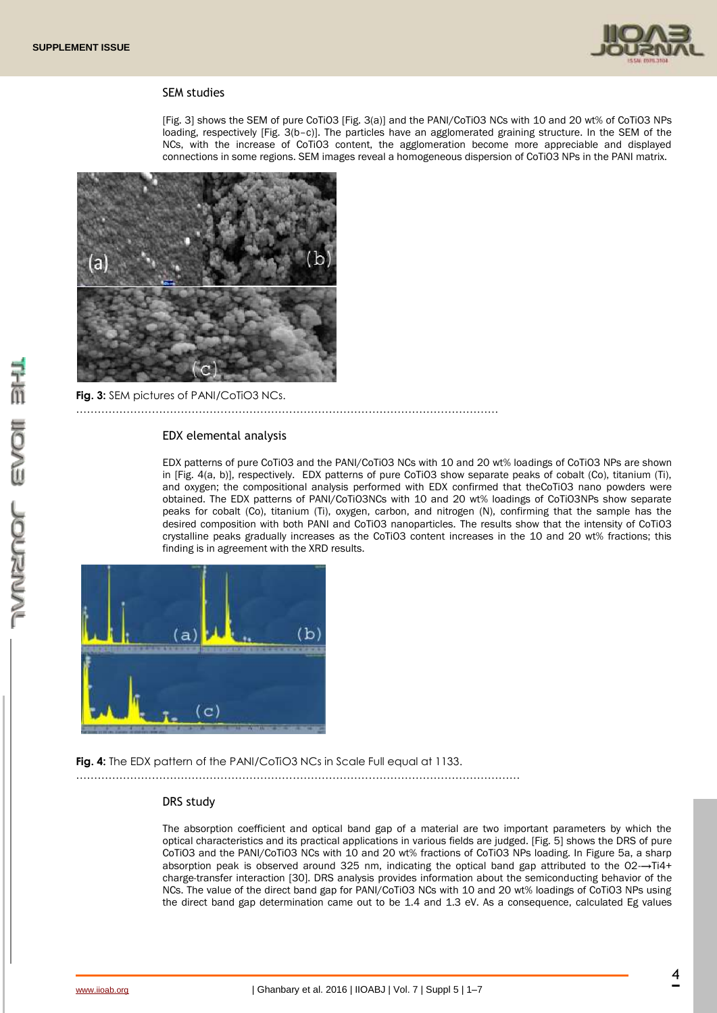

#### SEM studies

[Fig. 3] shows the SEM of pure CoTiO3 [Fig. 3(a)] and the PANI/CoTiO3 NCs with 10 and 20 wt% of CoTiO3 NPs loading, respectively [Fig. 3(b–c)]. The particles have an agglomerated graining structure. In the SEM of the NCs, with the increase of CoTiO3 content, the agglomeration become more appreciable and displayed connections in some regions. SEM images reveal a homogeneous dispersion of CoTiO3 NPs in the PANI matrix.



**Fig. 3:** SEM pictures of PANI/CoTiO3 NCs.

# ………………………………………………………………………………………………………

### EDX elemental analysis

EDX patterns of pure CoTiO3 and the PANI/CoTiO3 NCs with 10 and 20 wt% loadings of CoTiO3 NPs are shown in [Fig. 4(a, b)], respectively. EDX patterns of pure CoTiO3 show separate peaks of cobalt (Co), titanium (Ti), and oxygen; the compositional analysis performed with EDX confirmed that theCoTiO3 nano powders were obtained. The EDX patterns of PANI/CoTiO3NCs with 10 and 20 wt% loadings of CoTiO3NPs show separate peaks for cobalt (Co), titanium (Ti), oxygen, carbon, and nitrogen (N), confirming that the sample has the desired composition with both PANI and CoTiO3 nanoparticles. The results show that the intensity of CoTiO3 crystalline peaks gradually increases as the CoTiO3 content increases in the 10 and 20 wt% fractions; this finding is in agreement with the XRD results.



**Fig. 4:** The EDX pattern of the PANI/CoTiO3 NCs in Scale Full equal at 1133.

……………………………………………………………………………………………………………

#### DRS study

The absorption coefficient and optical band gap of a material are two important parameters by which the optical characteristics and its practical applications in various fields are judged. [Fig. 5] shows the DRS of pure CoTiO3 and the PANI/CoTiO3 NCs with 10 and 20 wt% fractions of CoTiO3 NPs loading. In Figure 5a, a sharp absorption peak is observed around 325 nm, indicating the optical band gap attributed to the O2-→Ti4+ charge-transfer interaction [30]. DRS analysis provides information about the semiconducting behavior of the NCs. The value of the direct band gap for PANI/CoTiO3 NCs with 10 and 20 wt% loadings of CoTiO3 NPs using the direct band gap determination came out to be 1.4 and 1.3 eV. As a consequence, calculated Eg values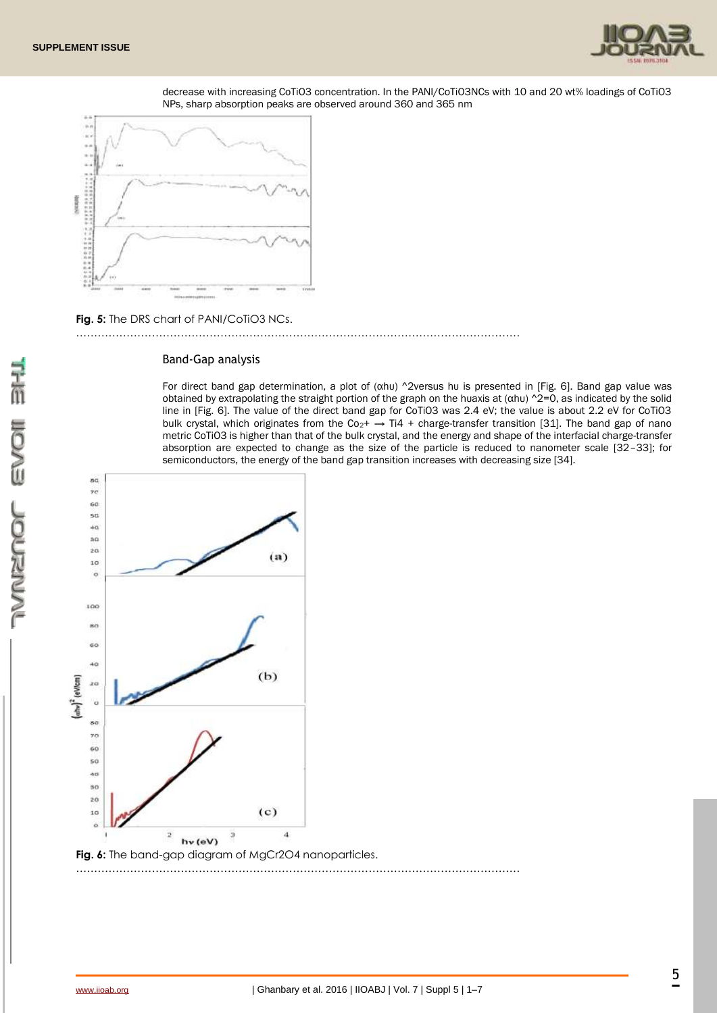

decrease with increasing CoTiO3 concentration. In the PANI/CoTiO3NCs with 10 and 20 wt% loadings of CoTiO3 NPs, sharp absorption peaks are observed around 360 and 365 nm



**Fig. 5:** The DRS chart of PANI/CoTiO3 NCs.

……………………………………………………………………………………………………………

#### Band-Gap analysis

For direct band gap determination, a plot of (αhυ) ^2versus hυ is presented in [Fig. 6]. Band gap value was obtained by extrapolating the straight portion of the graph on the huaxis at  $(\alpha hu)$  ^2=0, as indicated by the solid line in [Fig. 6]. The value of the direct band gap for CoTiO3 was 2.4 eV; the value is about 2.2 eV for CoTiO3 bulk crystal, which originates from the Co<sub>2</sub>+  $\rightarrow$  Ti4 + charge-transfer transition [31]. The band gap of nano metric CoTiO3 is higher than that of the bulk crystal, and the energy and shape of the interfacial charge-transfer absorption are expected to change as the size of the particle is reduced to nanometer scale [32–33]; for semiconductors, the energy of the band gap transition increases with decreasing size [34].



三面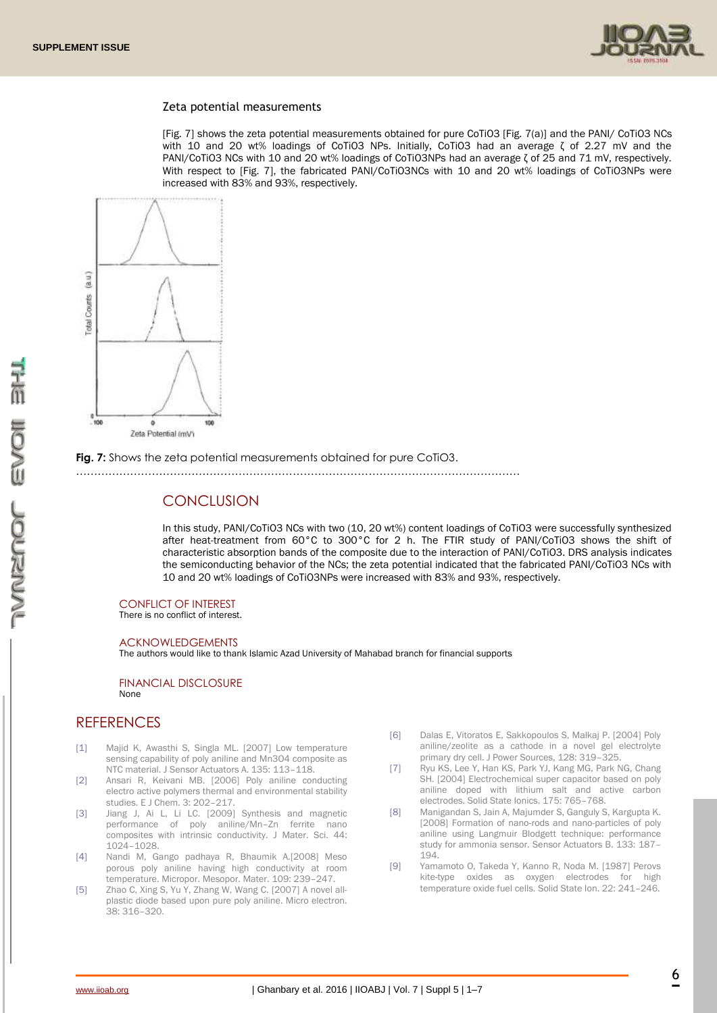

#### Zeta potential measurements

[Fig. 7] shows the zeta potential measurements obtained for pure CoTiO3 [Fig. 7(a)] and the PANI/ CoTiO3 NCs with 10 and 20 wt% loadings of CoTiO3 NPs. Initially, CoTiO3 had an average ζ of 2.27 mV and the PANI/CoTiO3 NCs with 10 and 20 wt% loadings of CoTiO3NPs had an average ζ of 25 and 71 mV, respectively. With respect to [Fig. 7], the fabricated PANI/CoTiO3NCs with 10 and 20 wt% loadings of CoTiO3NPs were increased with 83% and 93%, respectively.



**Fig. 7:** Shows the zeta potential measurements obtained for pure CoTiO3.

……………………………………………………………………………………………………………

# **CONCLUSION**

In this study, PANI/CoTiO3 NCs with two (10, 20 wt%) content loadings of CoTiO3 were successfully synthesized after heat-treatment from 60°C to 300°C for 2 h. The FTIR study of PANI/CoTiO3 shows the shift of characteristic absorption bands of the composite due to the interaction of PANI/CoTiO3. DRS analysis indicates the semiconducting behavior of the NCs; the zeta potential indicated that the fabricated PANI/CoTiO3 NCs with 10 and 20 wt% loadings of CoTiO3NPs were increased with 83% and 93%, respectively.

#### CONFLICT OF INTEREST

There is no conflict of interest.

#### ACKNOWLEDGEMENTS

The authors would like to thank Islamic Azad University of Mahabad branch for financial supports

FINANCIAL DISCLOSURE None

### **REFERENCES**

- [1] Majid K, Awasthi S, Singla ML. [2007] Low temperature sensing capability of poly aniline and Mn3O4 composite as NTC material. J Sensor Actuators A. 135: 113–118.
- [2] Ansari R, Keivani MB. [2006] Poly aniline conducting electro active polymers thermal and environmental stability studies. E J Chem. 3: 202–217.
- [3] Jiang J, Ai L, Li LC. [2009] Synthesis and magnetic performance of poly aniline/Mn–Zn ferrite nano composites with intrinsic conductivity. J Mater. Sci. 44: 1024–1028.
- [4] Nandi M, Gango padhaya R, Bhaumik A.[2008] Meso porous poly aniline having high conductivity at room temperature. Micropor. Mesopor. Mater. 109: 239–247.
- [5] Zhao C, Xing S, Yu Y, Zhang W, Wang C. [2007] A novel allplastic diode based upon pure poly aniline. Micro electron. 38: 316–320.
- [6] Dalas E, Vitoratos E, Sakkopoulos S, Malkaj P. [2004] Poly aniline/zeolite as a cathode in a novel gel electrolyte primary dry cell. J Power Sources, 128: 319–325.
- [7] Ryu KS, Lee Y, Han KS, Park YJ, Kang MG, Park NG, Chang SH. [2004] Electrochemical super capacitor based on poly aniline doped with lithium salt and active carbon electrodes. Solid State Ionics. 175: 765–768.
- [8] Manigandan S, Jain A, Majumder S, Ganguly S, Kargupta K. [2008] Formation of nano-rods and nano-particles of poly aniline using Langmuir Blodgett technique: performance study for ammonia sensor. Sensor Actuators B. 133: 187– 194.
- [9] Yamamoto O, Takeda Y, Kanno R, Noda M. [1987] Perovs kite-type oxides as oxygen electrodes for high temperature oxide fuel cells. Solid State Ion. 22: 241–246.